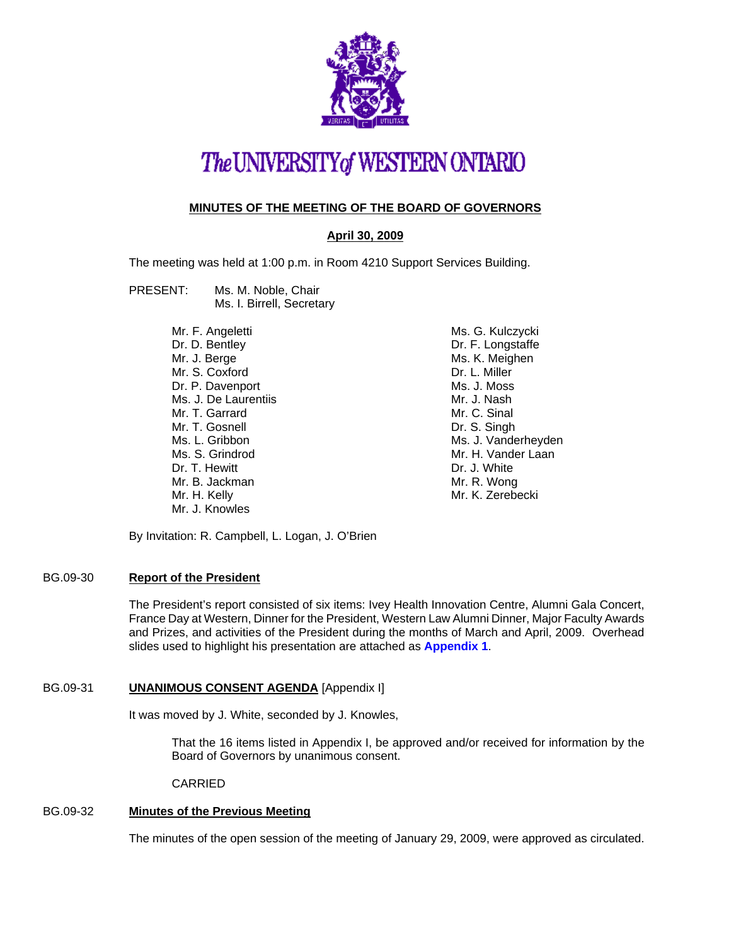

# The UNIVERSITY of WESTERN ONTARIO

# **MINUTES OF THE MEETING OF THE BOARD OF GOVERNORS**

## **April 30, 2009**

The meeting was held at 1:00 p.m. in Room 4210 Support Services Building.

#### PRESENT: Ms. M. Noble, Chair Ms. I. Birrell, Secretary

Mr. F. Angeletti Dr. D. Bentley Mr. J. Berge Mr. S. Coxford Dr. P. Davenport Ms. J. De Laurentiis Mr. T. Garrard Mr. T. Gosnell Ms. L. Gribbon Ms. S. Grindrod Dr. T. Hewitt Mr. B. Jackman Mr. H. Kelly Mr. J. Knowles

Ms. G. Kulczycki Dr. F. Longstaffe Ms. K. Meighen Dr. L. Miller Ms. J. Moss Mr. J. Nash Mr. C. Sinal Dr. S. Singh Ms. J. Vanderheyden Mr. H. Vander Laan Dr. J. White Mr. R. Wong Mr. K. Zerebecki

By Invitation: R. Campbell, L. Logan, J. O'Brien

## BG.09-30 **Report of the President**

The President's report consisted of six items: Ivey Health Innovation Centre, Alumni Gala Concert, France Day at Western, Dinner for the President, Western Law Alumni Dinner, Major Faculty Awards and Prizes, and activities of the President during the months of March and April, 2009. Overhead slides used to highlight his presentation are attached as **[Appendix 1](#page-5-0)**.

### BG.09-31 **UNANIMOUS CONSENT AGENDA** [Appendix I]

It was moved by J. White, seconded by J. Knowles,

That the 16 items listed in Appendix I, be approved and/or received for information by the Board of Governors by unanimous consent.

CARRIED

# BG.09-32 **Minutes of the Previous Meeting**

The minutes of the open session of the meeting of January 29, 2009, were approved as circulated.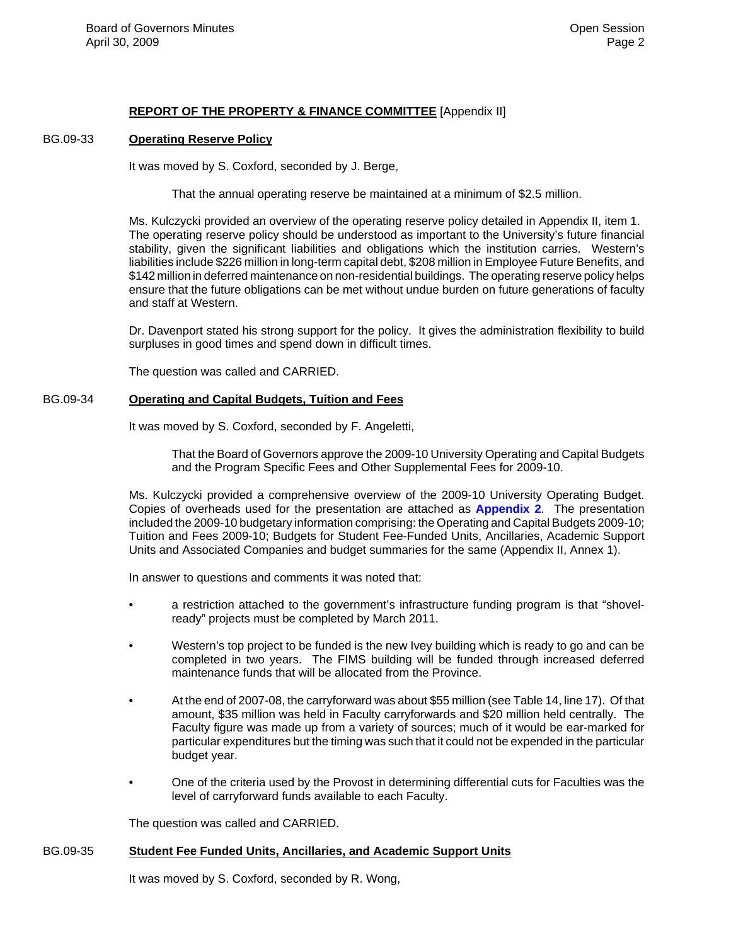# **REPORT OF THE PROPERTY & FINANCE COMMITTEE** [Appendix II]

#### BG.09-33 **Operating Reserve Policy**

It was moved by S. Coxford, seconded by J. Berge,

That the annual operating reserve be maintained at a minimum of \$2.5 million.

Ms. Kulczycki provided an overview of the operating reserve policy detailed in Appendix II, item 1. The operating reserve policy should be understood as important to the University's future financial stability, given the significant liabilities and obligations which the institution carries. Western's liabilities include \$226 million in long-term capital debt, \$208 million in Employee Future Benefits, and \$142 million in deferred maintenance on non-residential buildings. The operating reserve policy helps ensure that the future obligations can be met without undue burden on future generations of faculty and staff at Western.

Dr. Davenport stated his strong support for the policy. It gives the administration flexibility to build surpluses in good times and spend down in difficult times.

The question was called and CARRIED.

#### BG.09-34 **Operating and Capital Budgets, Tuition and Fees**

It was moved by S. Coxford, seconded by F. Angeletti,

That the Board of Governors approve the 2009-10 University Operating and Capital Budgets and the Program Specific Fees and Other Supplemental Fees for 2009-10.

Ms. Kulczycki provided a comprehensive overview of the 2009-10 University Operating Budget. Copies of overheads used for the presentation are attached as **[Appendix 2](#page-7-0)**. The presentation included the 2009-10 budgetary information comprising: the Operating and Capital Budgets 2009-10; Tuition and Fees 2009-10; Budgets for Student Fee-Funded Units, Ancillaries, Academic Support Units and Associated Companies and budget summaries for the same (Appendix II, Annex 1).

In answer to questions and comments it was noted that:

- a restriction attached to the government's infrastructure funding program is that "shovelready" projects must be completed by March 2011.
- Western's top project to be funded is the new Ivey building which is ready to go and can be completed in two years. The FIMS building will be funded through increased deferred maintenance funds that will be allocated from the Province.
- At the end of 2007-08, the carryforward was about \$55 million (see Table 14, line 17). Of that amount, \$35 million was held in Faculty carryforwards and \$20 million held centrally. The Faculty figure was made up from a variety of sources; much of it would be ear-marked for particular expenditures but the timing was such that it could not be expended in the particular budget year.
- One of the criteria used by the Provost in determining differential cuts for Faculties was the level of carryforward funds available to each Faculty.

The question was called and CARRIED.

#### BG.09-35 **Student Fee Funded Units, Ancillaries, and Academic Support Units**

It was moved by S. Coxford, seconded by R. Wong,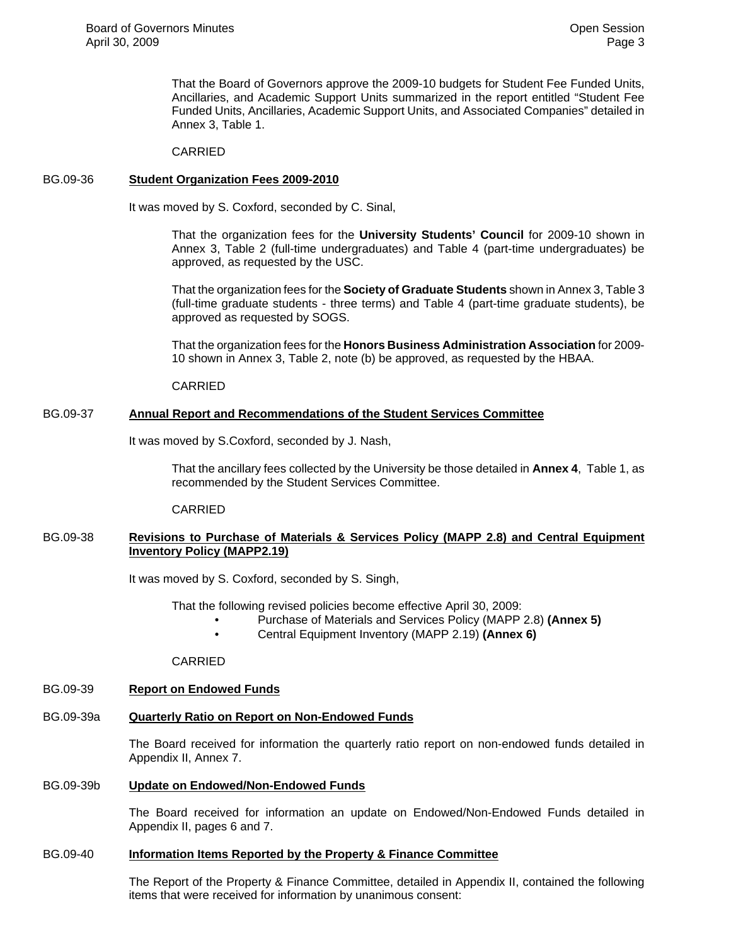That the Board of Governors approve the 2009-10 budgets for Student Fee Funded Units, Ancillaries, and Academic Support Units summarized in the report entitled "Student Fee Funded Units, Ancillaries, Academic Support Units, and Associated Companies" detailed in Annex 3, Table 1.

CARRIED

### BG.09-36 **Student Organization Fees 2009-2010**

It was moved by S. Coxford, seconded by C. Sinal,

That the organization fees for the **University Students' Council** for 2009-10 shown in Annex 3, Table 2 (full-time undergraduates) and Table 4 (part-time undergraduates) be approved, as requested by the USC.

That the organization fees for the **Society of Graduate Students** shown in Annex 3, Table 3 (full-time graduate students - three terms) and Table 4 (part-time graduate students), be approved as requested by SOGS.

That the organization fees for the **Honors Business Administration Association** for 2009- 10 shown in Annex 3, Table 2, note (b) be approved, as requested by the HBAA.

CARRIED

#### BG.09-37 **Annual Report and Recommendations of the Student Services Committee**

It was moved by S.Coxford, seconded by J. Nash,

That the ancillary fees collected by the University be those detailed in **Annex 4**, Table 1, as recommended by the Student Services Committee.

CARRIED

### BG.09-38 **Revisions to Purchase of Materials & Services Policy (MAPP 2.8) and Central Equipment Inventory Policy (MAPP2.19)**

It was moved by S. Coxford, seconded by S. Singh,

That the following revised policies become effective April 30, 2009:

- Purchase of Materials and Services Policy (MAPP 2.8) **(Annex 5)**
- Central Equipment Inventory (MAPP 2.19) **(Annex 6)**

CARRIED

# BG.09-39 **Report on Endowed Funds**

# BG.09-39a **Quarterly Ratio on Report on Non-Endowed Funds**

The Board received for information the quarterly ratio report on non-endowed funds detailed in Appendix II, Annex 7.

# BG.09-39b **Update on Endowed/Non-Endowed Funds**

The Board received for information an update on Endowed/Non-Endowed Funds detailed in Appendix II, pages 6 and 7.

# BG.09-40 **Information Items Reported by the Property & Finance Committee**

The Report of the Property & Finance Committee, detailed in Appendix II, contained the following items that were received for information by unanimous consent: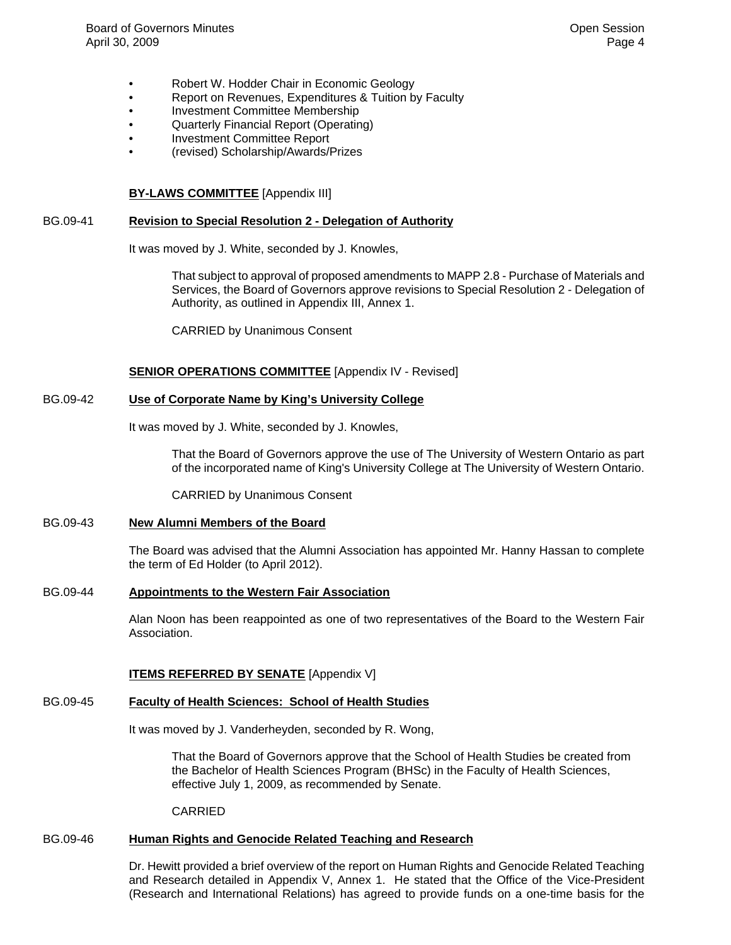- Robert W. Hodder Chair in Economic Geology
- Report on Revenues, Expenditures & Tuition by Faculty
- Investment Committee Membership
- Quarterly Financial Report (Operating)
- Investment Committee Report
- (revised) Scholarship/Awards/Prizes

#### **BY-LAWS COMMITTEE** [Appendix III]

#### BG.09-41 **Revision to Special Resolution 2 - Delegation of Authority**

It was moved by J. White, seconded by J. Knowles,

That subject to approval of proposed amendments to MAPP 2.8 - Purchase of Materials and Services, the Board of Governors approve revisions to Special Resolution 2 - Delegation of Authority, as outlined in Appendix III, Annex 1.

CARRIED by Unanimous Consent

#### **SENIOR OPERATIONS COMMITTEE** [Appendix IV - Revised]

### BG.09-42 **Use of Corporate Name by King's University College**

It was moved by J. White, seconded by J. Knowles,

That the Board of Governors approve the use of The University of Western Ontario as part of the incorporated name of King's University College at The University of Western Ontario.

CARRIED by Unanimous Consent

#### BG.09-43 **New Alumni Members of the Board**

The Board was advised that the Alumni Association has appointed Mr. Hanny Hassan to complete the term of Ed Holder (to April 2012).

#### BG.09-44 **Appointments to the Western Fair Association**

Alan Noon has been reappointed as one of two representatives of the Board to the Western Fair Association.

#### **ITEMS REFERRED BY SENATE** [Appendix V]

#### BG.09-45 **Faculty of Health Sciences: School of Health Studies**

It was moved by J. Vanderheyden, seconded by R. Wong,

That the Board of Governors approve that the School of Health Studies be created from the Bachelor of Health Sciences Program (BHSc) in the Faculty of Health Sciences, effective July 1, 2009, as recommended by Senate.

**CARRIED** 

# BG.09-46 **Human Rights and Genocide Related Teaching and Research**

Dr. Hewitt provided a brief overview of the report on Human Rights and Genocide Related Teaching and Research detailed in Appendix V, Annex 1. He stated that the Office of the Vice-President (Research and International Relations) has agreed to provide funds on a one-time basis for the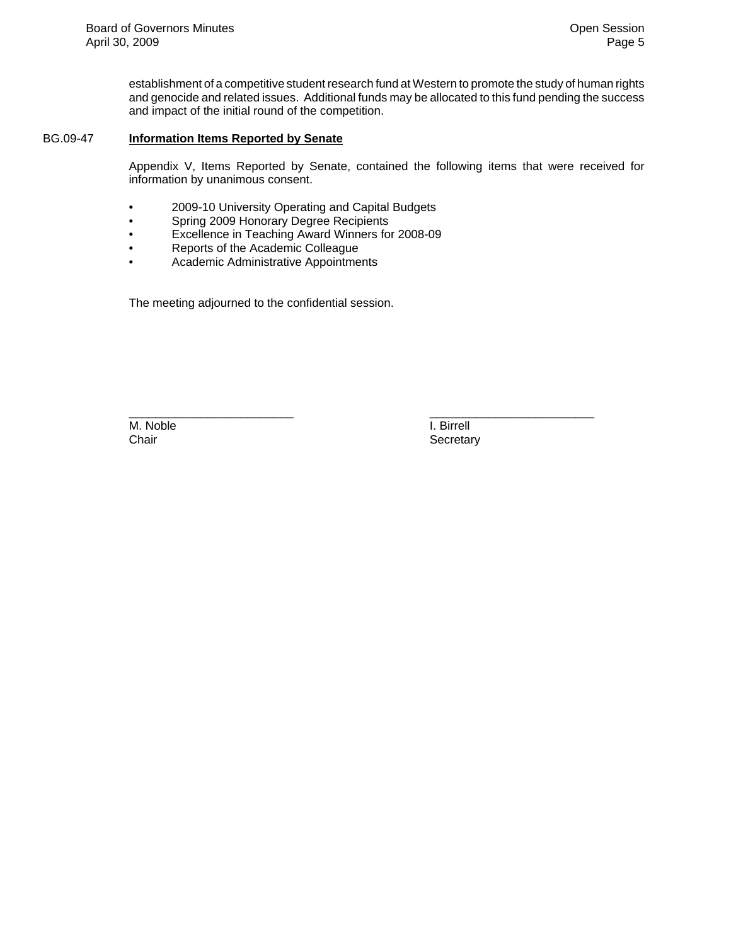establishment of a competitive student research fund at Western to promote the study of human rights and genocide and related issues. Additional funds may be allocated to this fund pending the success and impact of the initial round of the competition.

#### BG.09-47 **Information Items Reported by Senate**

Appendix V, Items Reported by Senate, contained the following items that were received for information by unanimous consent.

\_\_\_\_\_\_\_\_\_\_\_\_\_\_\_\_\_\_\_\_\_\_\_\_\_ \_\_\_\_\_\_\_\_\_\_\_\_\_\_\_\_\_\_\_\_\_\_\_\_\_

- 2009-10 University Operating and Capital Budgets
- Spring 2009 Honorary Degree Recipients
- Excellence in Teaching Award Winners for 2008-09
- Reports of the Academic Colleague
- Academic Administrative Appointments

The meeting adjourned to the confidential session.

M. Noble I. Birrell<br>Chair Chair Chair Chair Chair Chair Chair Chair Chair Chair Chair Chair Chair Chair Chair Chair Chair Chair Ch

Secretary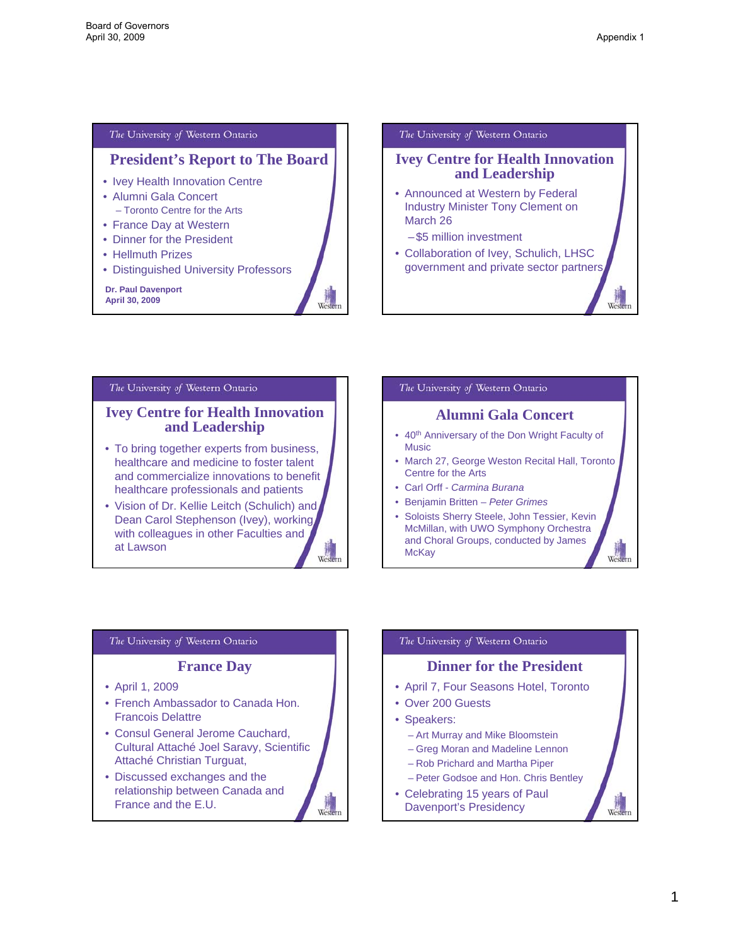Wester

## <span id="page-5-0"></span>The University of Western Ontario

# **President's Report to The Board**

Western

Western

- Ivey Health Innovation Centre
- Alumni Gala Concert – Toronto Centre for the Arts
- France Day at Western
- Dinner for the President
- Hellmuth Prizes
- Distinguished University Professors

**Dr. Paul Davenport April 30, 2009**

#### The University of Western Ontario

# **Ivey Centre for Health Innovation and Leadership**

- Announced at Western by Federal Industry Minister Tony Clement on March 26
	- \$5 million investment
- Collaboration of Ivey, Schulich, LHSC government and private sector partners

#### The University of Western Ontario

### **Ivey Centre for Health Innovation and Leadership**

- To bring together experts from business, healthcare and medicine to foster talent and commercialize innovations to benefit healthcare professionals and patients
- Vision of Dr. Kellie Leitch (Schulich) and Dean Carol Stephenson (Ivey), working with colleagues in other Faculties and at Lawson Wester

#### The University of Western Ontario

## **Alumni Gala Concert**

- 40<sup>th</sup> Anniversary of the Don Wright Faculty of Music
- March 27, George Weston Recital Hall, Toronto Centre for the Arts
- Carl Orff *Carmina Burana*
- Benjamin Britten *Peter Grimes*
- Soloists Sherry Steele, John Tessier, Kevin McMillan, with UWO Symphony Orchestra and Choral Groups, conducted by James Wester **McKay**

#### The University of Western Ontario

#### **France Day**

- April 1, 2009
- French Ambassador to Canada Hon. Francois Delattre
- Consul General Jerome Cauchard, Cultural Attaché Joel Saravy, Scientific Attaché Christian Turguat,
- Discussed exchanges and the relationship between Canada and France and the E.U.

#### The University of Western Ontario

# **Dinner for the President**

- April 7, Four Seasons Hotel, Toronto
- Over 200 Guests
- Speakers:
	- Art Murray and Mike Bloomstein
	- Greg Moran and Madeline Lennon
	- Rob Prichard and Martha Piper
	- Peter Godsoe and Hon. Chris Bentley
- Celebrating 15 years of Paul Davenport's Presidency

Wester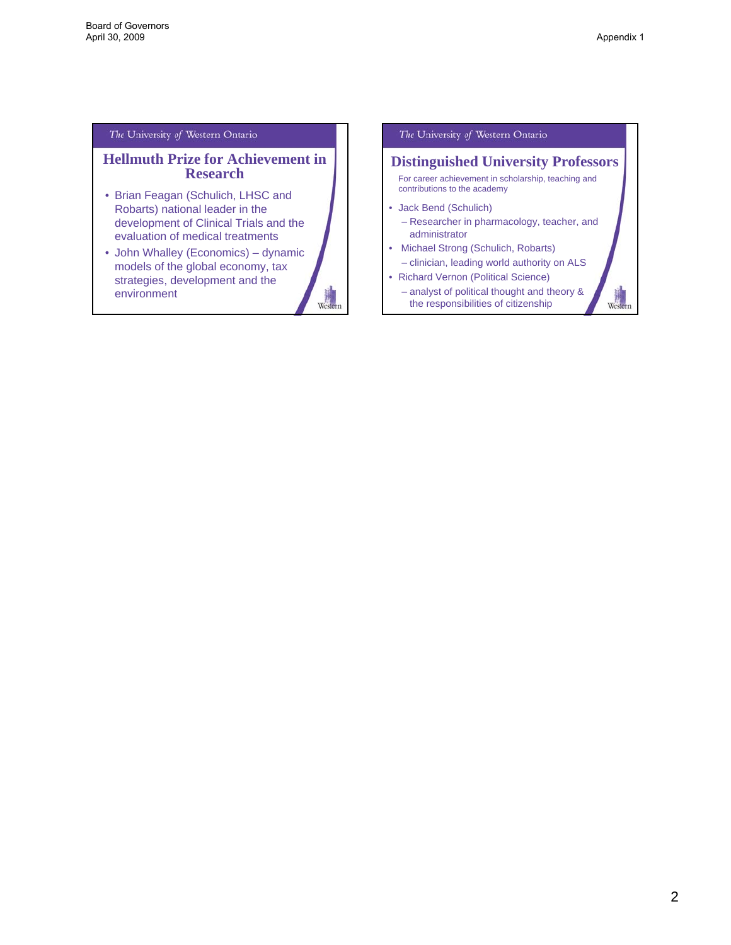Western

#### The University of Western Ontario

## **Hellmuth Prize for Achievement in Research**

- Brian Feagan (Schulich, LHSC and Robarts) national leader in the development of Clinical Trials and the evaluation of medical treatments
- John Whalley (Economics) dynamic models of the global economy, tax strategies, development and the Western environment

The University of Western Ontario

# **Distinguished University Professors**

For career achievement in scholarship, teaching and contributions to the academy

#### • Jack Bend (Schulich)

- Researcher in pharmacology, teacher, and administrator
- Michael Strong (Schulich, Robarts)
	- clinician, leading world authority on ALS
- Richard Vernon (Political Science) – analyst of political thought and theory &
	- the responsibilities of citizenship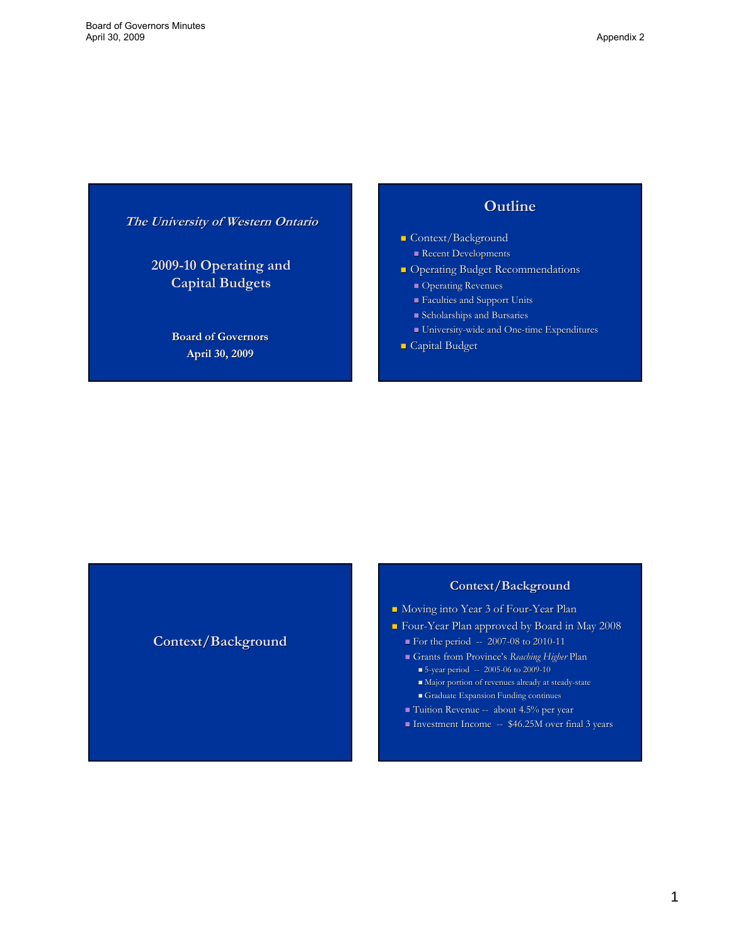<span id="page-7-0"></span>**The University of Western Ontario**

**2009-10 Operating and 10 Operating and Capital Budgets Capital Budgets**

> **Board of Governors April 30, 2009**

# **Outline Outline**

- **Context/Background** 
	- Recent Developments
- **Operating Budget Recommendations** 
	- Operating Revenues
	- Faculties and Support Units Faculties and Support Units
	- **Scholarships and Bursaries**
	- $\blacksquare$  University-wide and One-time Expenditures
- $\Box$  Capital Budget

**Context/Background**

# **Context/Background**

- Moving into Year 3 of Four-Year Plan
- Four-Year Plan approved by Board in May 2008
	- $\blacksquare$  For the period  $-2007-08$  to 2010-11
	- Grants from Province's *Reaching Higher Reaching Higher*Plan
		- $\bullet$  5-year period -- 2005-06 to 2009-10
		- Major portion of revenues already at steady-state
		- Graduate Expansion Funding continues
	- Tuition Revenue -- about 4.5% per year
	- Investment Income -- \$46.25M over final 3 years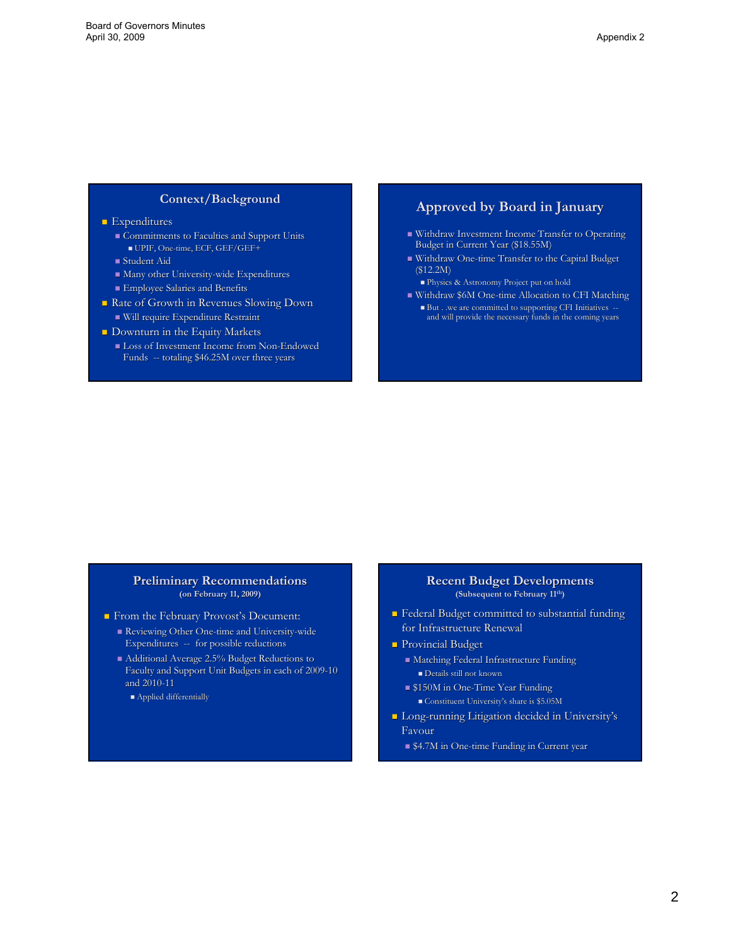#### **Context/Background**

#### **Expenditures**

- Gommitments to Faculties and Support Units UPIF, One-time, ECF, GEF/GEF+
- Student Aid
- $\blacksquare$  Many other University-wide Expenditures
- Employee Salaries and Benefits Employee Salaries and Benefits
- Rate of Growth in Revenues Slowing Down  $\blacksquare$  Will require Expenditure Restraint
- $\blacksquare$  Downturn in the Equity Markets
- **Loss of Investment Income from Non-Endowed** Funds -- totaling \$46.25M over three years

# **Approved by Board in January Approved by Board in January**

- Withdraw Investment Income Transfer to Operating Budget in Current Year (\$18.55M)
- Withdraw One-time Transfer to the Capital Budget (\$12.2M)
	- **Physics & Astronomy Project put on hold**
- Withdraw \$6M One-time Allocation to CFI Matching
- But . .we are committed to supporting CFI Initiatives --<br>and will provide the necessary funds in the coming years

#### **Preliminary Recommendations Preliminary Recommendations (on February 11, 2009)**

- From the February Provost's Document:
	- Reviewing Other One-time and University-wide Expenditures -- for possible reductions
	- $\blacksquare$  Additional Average 2.5% Budget Reductions to Faculty and Support Unit Budgets in each of 2009-10 and 2010-11
		- Applied differentially

#### **Recent Budget Developments (Subsequent to February 11th)**

- **Federal Budget committed to substantial funding** for Infrastructure Renewal
- **Provincial Budget** 
	- $\blacksquare$  Matching Federal Infrastructure Funding
		- Details still not known
	- **S150M** in One-Time Year Funding
		- Constituent University's share is \$5.05M
- **Long-running Litigation decided in University's** Favour
	- \$4.7M in One-time Funding in Current year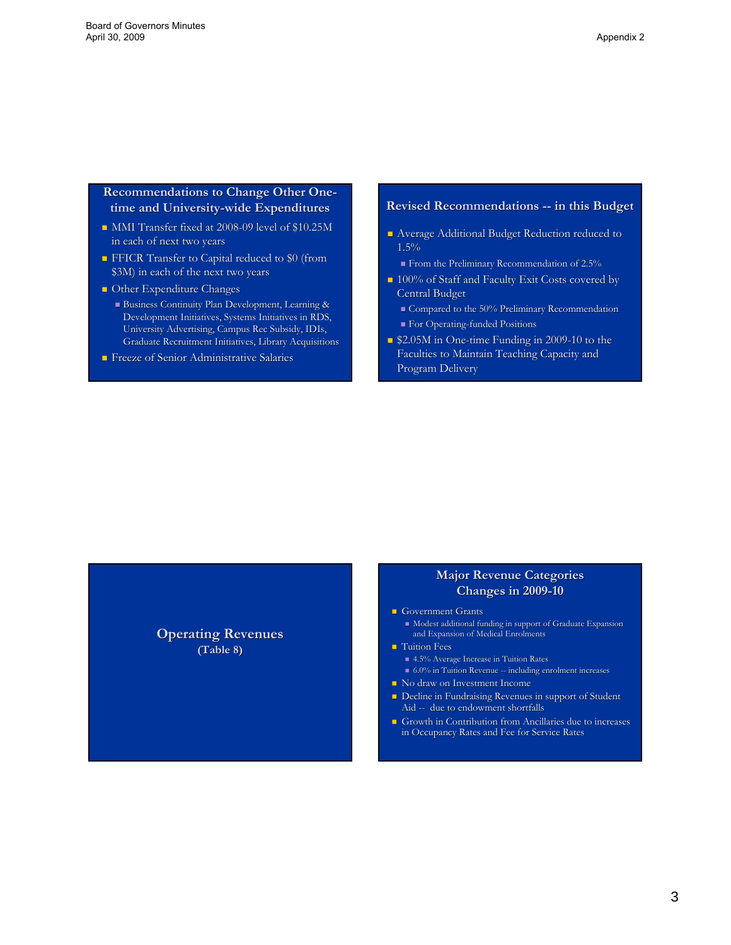## **Recommendations to Change Other Onetime and University-wide Expenditures wide Expenditures**

- $\blacksquare$  MMI Transfer fixed at 2008-09 level of \$10.25M in each of next two years
- **FICR Transfer to Capital reduced to \$0 (from** \$3M) in each of the next two years
- $\Box$  Other Expenditure Changes
	- Business Continuity Plan Development, Learning & Business Continuity Plan Development, Learning & Development Initiatives, Systems Initiatives in RDS, University Advertising, Campus Rec Subsidy, University Advertising, Campus Rec Subsidy, IDIs, Graduate Recruitment Initiatives, Library Acquisitions
- Freeze of Senior Administrative Salaries Freeze of Senior Administrative Salaries

#### **Revised Recommendations -- in this Budget**

- Average Additional Budget Reduction reduced to 1.5%
	- From the Preliminary Recommendation of 2.5%
- 100% of Staff and Faculty Exit Costs covered by 100% of Staff and Faculty Exit Costs covered by Central Budget
	- Compared to the 50% Preliminary Recommendation
	- **For Operating-funded Positions**
- **52.05M** in One-time Funding in 2009-10 to the Faculties to Maintain Teaching Capacity and Program Delivery

**Operating Revenues Operating Revenues (Table 8) (Table 8)**

## **Major Revenue Categories Major Revenue Categories Changes in 2009-10**

- Government Grants
- Modest additional funding in support of Graduate Expansion and Expansion of Medical Enrolments
- $\blacksquare$  Tuition Fees
	- 4.5% Average Increase in Tuition Rates 6.0% in Tuition Revenue -- including enrolment increases
- No draw on Investment Income
- Decline in Fundraising Revenues in support of Student Aid -- due to endowment shortfalls
- Growth in Contribution from Ancillaries due to increases in Occupancy Rates and Fee for Service Rates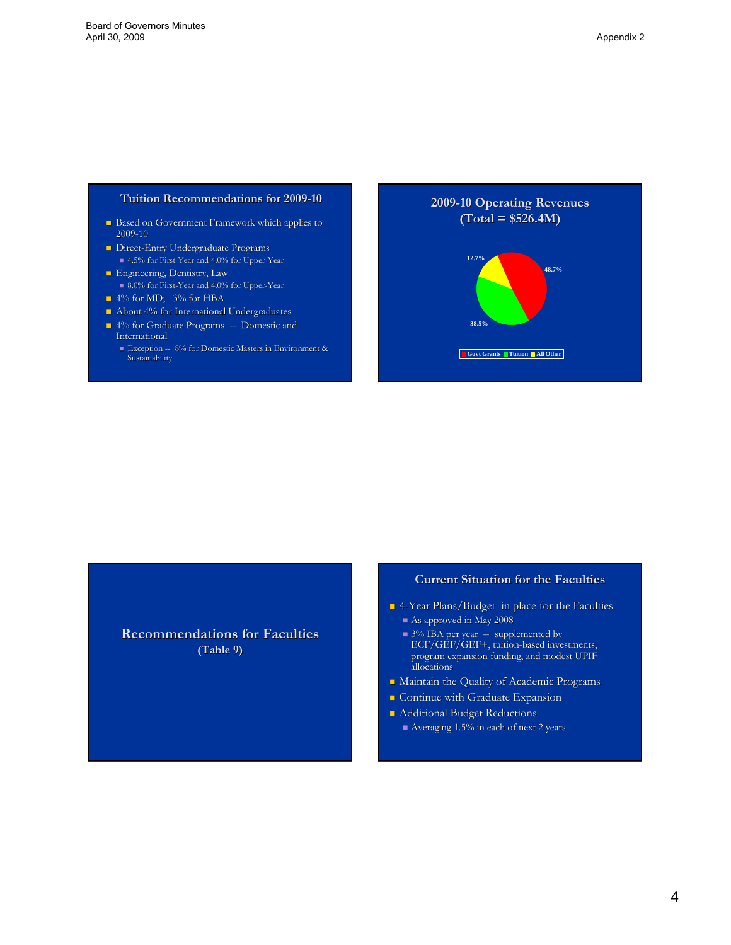#### **Tuition Recommendations for 2009-10**

- **B** Based on Government Framework which applies to 2009-10
- **Direct-Entry Undergraduate Programs**  $\blacksquare$ 4.5% for First-Year and 4.0% for Upper-Year
- **Engineering, Dentistry, Law**  $\blacksquare$  8.0% for First-Year and 4.0% for Upper-Year
- 4% for MD; 3% for HBA
- $\blacksquare$  About 4% for International Undergraduates
- $\blacksquare$  4% for Graduate Programs -- Domestic and **International** 
	- Exception -- 8% for Domestic Masters in Environment & Sustainability



**Recommendations for Faculties (Table 9) (Table 9)**

#### **Current Situation for the Faculties**

- $\blacksquare$  4-Year Plans/Budget in place for the Faculties
	- As approved in May 2008
	- $\blacksquare$  3% IBA per year -- supplemented by ECF/GEF/GEF+, tuition-based investments, program expansion funding, and modest UPIF allocations allocations
- Maintain the Quality of Academic Programs
- **Continue with Graduate Expansion**
- **Additional Budget Reductions** 
	- $\blacksquare$  Averaging 1.5% in each of next 2 years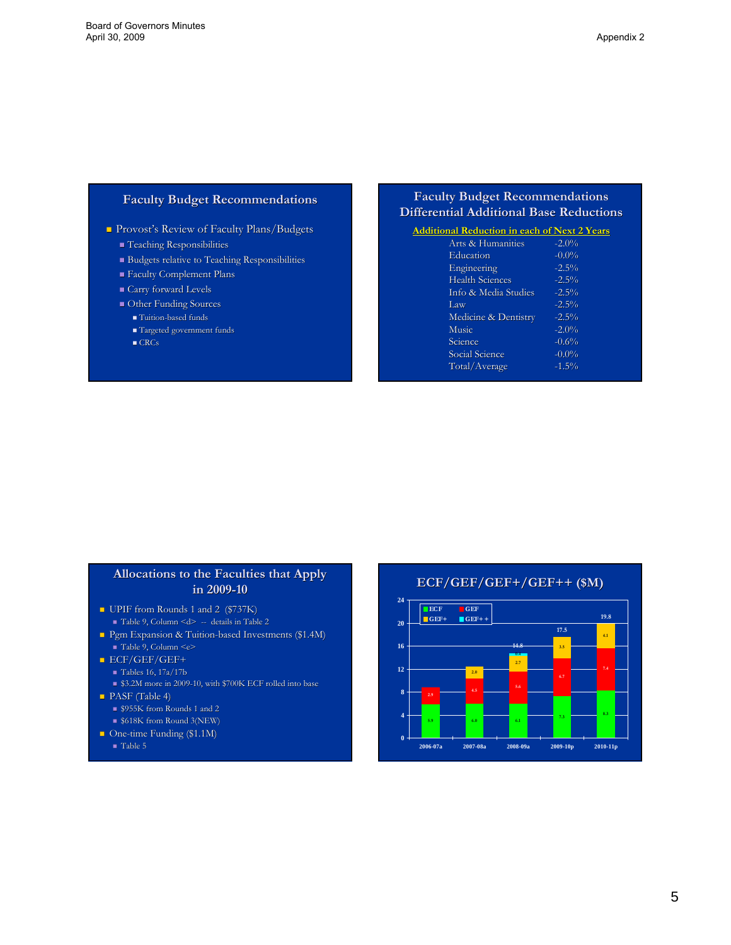#### **Faculty Budget Recommendations Faculty Budget Recommendations**

Provost's Review of Faculty Plans/Budgets

- $\blacksquare$  Teaching Responsibilities
- $\blacksquare$  Budgets relative to Teaching Responsibilities
- **Faculty Complement Plans**
- $\blacksquare$  Carry forward Levels
- $\blacksquare$  Other Funding Sources
	- Tuition-based funds
	- Targeted government funds
	- $\blacksquare$  CRCs

# **Faculty Budget Recommendations Faculty Budget Recommendations Differential Additional Base Reductions Differential Additional Base Reductions**

| <b>Additional Reduction in each of Next 2 Years</b> |          |  |  |  |
|-----------------------------------------------------|----------|--|--|--|
| Arts & Humanities                                   | $-2.0\%$ |  |  |  |
| Education                                           | $-0.0\%$ |  |  |  |
| Engineering                                         | $-2.5\%$ |  |  |  |
| <b>Health Sciences</b>                              | $-2.5\%$ |  |  |  |
| Info & Media Studies                                | $-2.5\%$ |  |  |  |
| Law                                                 | $-2.5\%$ |  |  |  |
| Medicine & Dentistry                                | $-2.5\%$ |  |  |  |
| Music                                               | $-2.0\%$ |  |  |  |
| Science                                             | $-0.6%$  |  |  |  |
| Social Science                                      | $-0.0\%$ |  |  |  |
| Total/Average                                       | $-1.5\%$ |  |  |  |
|                                                     |          |  |  |  |

## **Allocations to the Faculties that Apply Allocations to the Faculties that Apply in 2009-10**

- UPIF from Rounds 1 and 2 (\$737K)  $\blacksquare$  Table 9, Column <d> -- details in Table 2
- Pgm Expansion & Tuition-based Investments (\$1.4M)  $\blacksquare$  Table 9, Column  $\leq c$
- **ECF/GEF/GEF+** 
	- $\blacksquare$  Tables 16, 17a/17b
	- \$3.2M more in 2009-10, with \$700K ECF rolled into base
- **PASF** (Table 4)
	- \$955K from Rounds 1 and 2
	- $\overline{\phantom{1}}$  \$618K from Round 3(NEW)
- $\blacksquare$  One-time Funding (\$1.1M)
	- Table 5

**ECF/GEF/GEF+/GEF++ (\$M) ECF/GEF/GEF+/GEF++ (\$M)**

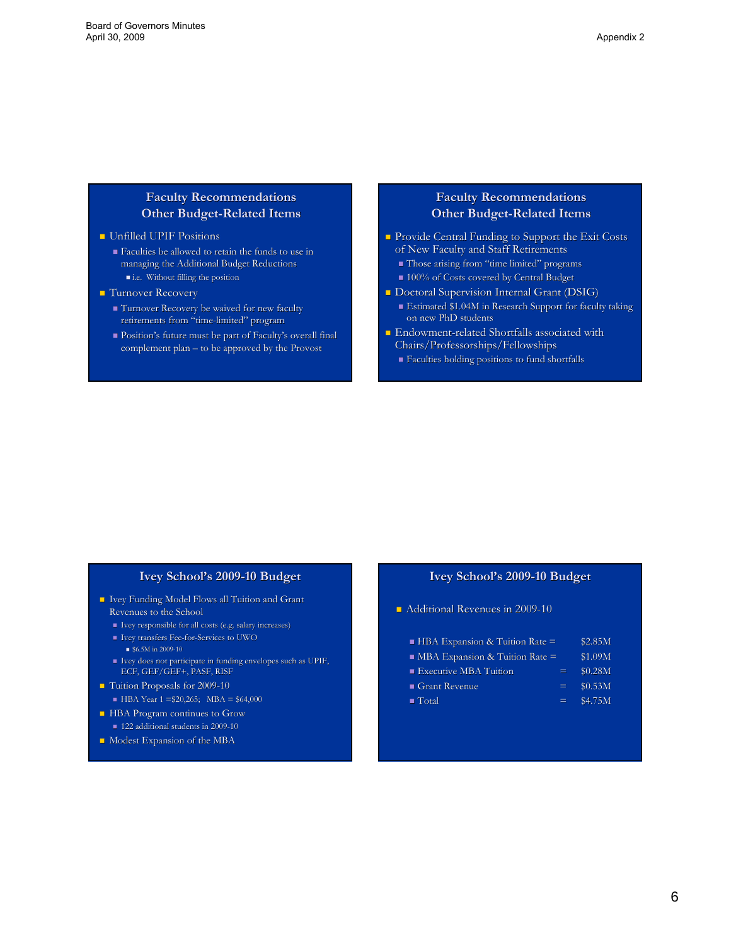# **Faculty Recommendations Faculty Recommendations Other Budget-Related Items**

#### **Unfilled UPIF Positions**

- $\blacksquare$  Faculties be allowed to retain the funds to use in managing the Additional Budget Reductions managing the Additional Budget Reductions i.e. Without filling the position
- **Turnover Recovery** 
	- Turnover Recovery be waived for new faculty Turnover Recovery be waived for new faculty retirements from "time-limited" program
	- $\blacksquare$  Position's future must be part of Faculty's overall final complement plan – to be approved by the Provost

# **Faculty Recommendations Faculty Recommendations Other Budget-Related Items**

- Provide Central Funding to Support the Exit Costs of New Faculty and Staff Retirements
	- Those arising from "time limited" programs
	- 100% of Costs covered by Central Budget
- Doctoral Supervision Internal Grant (DSIG) Estimated \$1.04M in Research Support for faculty taking on new PhD students
- $\blacksquare$  Endowment-related Shortfalls associated with Chairs/Professorships/Fellowships
	- Faculties holding positions to fund shortfalls Faculties holding positions to fund shortfalls

#### **Ivey School's 2009-10 Budget**

- Ivey Funding Model Flows all Tuition and Grant Ivey Funding Model Flows all Tuition and Grant Revenues to the School Revenues to the School
	- $\blacksquare$  Ivey responsible for all costs (e.g. salary increases)
	- Ivey transfers Fee-for-Services to UWO  $$6.5M \text{ in } 2009-10$
	- Ivey does not participate in funding envelopes such as UPIF, ECF, GEF/GEF+, PASF, RISF
- Tuition Proposals for 2009-10
- $HBA Year 1 = $20,265; MBA = $64,000$
- **HBA Program continues to Grow** 122 additional students in 2009-10
- Modest Expansion of the MBA

## **Ivey School's 2009-10 Budget**

- Additional Revenues in 2009-10
	- HBA Expansion & Tuition Rate = \$2.85M
	- **MBA Expansion & Tuition Rate = \$1.09M**
	- Executive MBA Tuition  $=$  \$0.28M
	- Grant Revenue  $=$  \$0.53M
	- $\blacksquare$  Total  $\blacksquare$   $\blacksquare$   $\blacksquare$   $\blacksquare$   $\blacksquare$   $\blacksquare$   $\blacksquare$   $\blacksquare$   $\blacksquare$   $\blacksquare$   $\blacksquare$   $\blacksquare$   $\blacksquare$   $\blacksquare$   $\blacksquare$   $\blacksquare$   $\blacksquare$   $\blacksquare$   $\blacksquare$   $\blacksquare$   $\blacksquare$   $\blacksquare$   $\blacksquare$   $\blacksquare$   $\blacksquare$   $\blacksquare$   $\blacksquare$   $\blacksquare$   $\blacksquare$   $\blacksquare$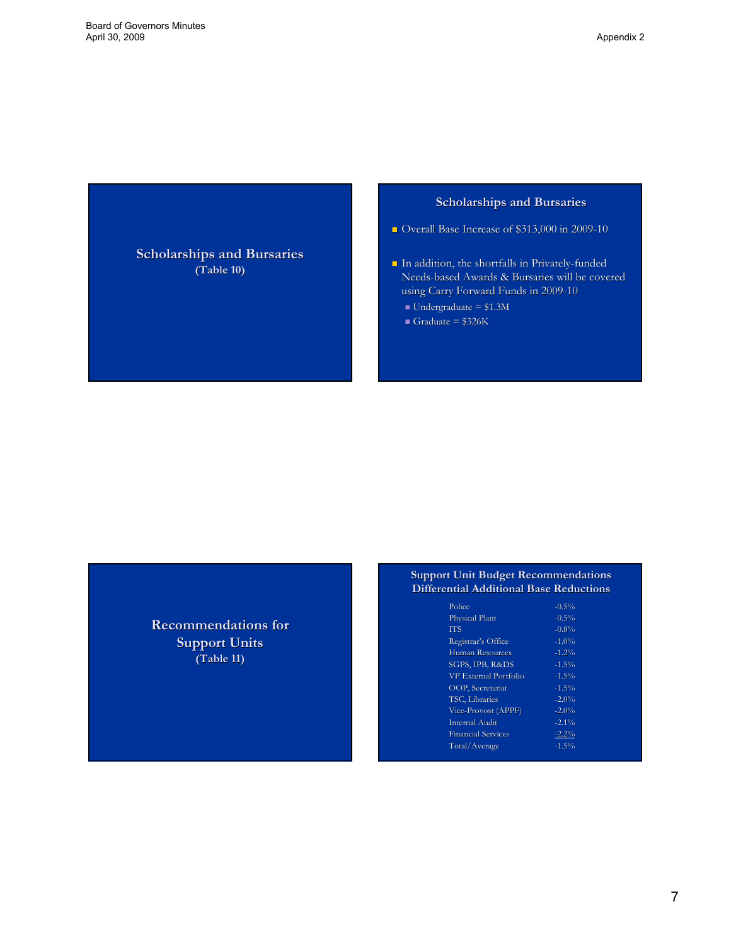**Scholarships and Bursaries (Table 10) (Table 10)**

#### **Scholarships and Bursaries**

- Overall Base Increase of \$313,000 in 2009-10
- In addition, the shortfalls in Privately-funded Needs-based Awards & Bursaries will be covered using Carry Forward Funds in 2009-10
	- $\blacksquare$  Undergraduate = \$1.3M
	- Graduate =  $$326K$

**Recommendations for Support Units (Table 11)**

#### **Support Unit Budget Recommendations Differential Additional Base Reductions**

| Police                    | $-0.5\%$ |
|---------------------------|----------|
| Physical Plant            | $-0.5\%$ |
| <b>TTS</b>                | $-0.8%$  |
| Registrar's Office        | $-1.0%$  |
| Human Resources           | $-1.2%$  |
| SGPS, IPB, R&DS           | $-1.5%$  |
| VP External Portfolio     | $-1.5%$  |
| OOP, Secretariat          | $-1.5%$  |
| TSC, Libraries            | $-2.0%$  |
| Vice-Provost (APPF)       | $-2.0%$  |
| Internal Audit            | $-2.1%$  |
| <b>Financial Services</b> | $-2.2%$  |
| Total/Average             | $-1.5%$  |
|                           |          |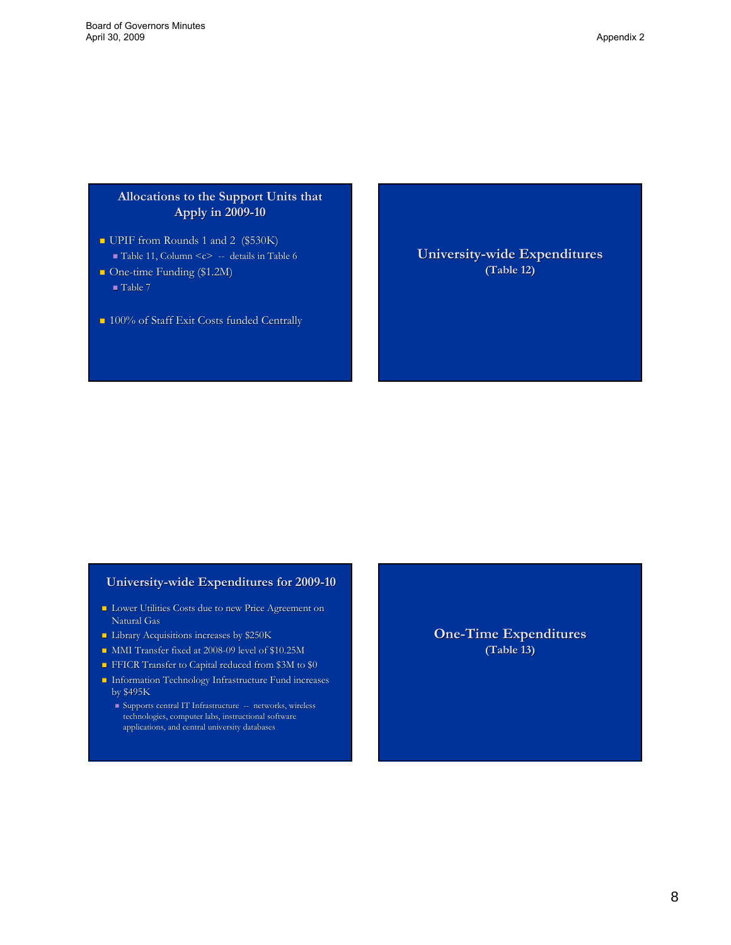# **Allocations to the Support Units that Allocations to the Support Units that Apply in 2009-10**

- UPIF from Rounds 1 and 2  $(\$530K)$  $\blacksquare$  Table 11, Column <c> -- details in Table 6
- One-time Funding (\$1.2M)  $\blacksquare$  Table 7
	-
- 100% of Staff Exit Costs funded Centrally

**University-wide Expenditures (Table 12) (Table 12)**

#### **University-wide Expenditures for 2009-10**

- **Lower Utilities Costs due to new Price Agreement on** Natural Gas
- **Library Acquisitions increases by \$250K**
- MMI Transfer fixed at 2008-09 level of \$10.25M
- FFICR Transfer to Capital reduced from \$3M to \$0
- $\blacksquare$  Information Technology Infrastructure Fund increases by \$495K
- Supports central IT Infrastructure -- networks, wireless technologies, computer labs, instructional software applications, and central university databases

**One-Time Expenditures (Table 13) (Table 13)**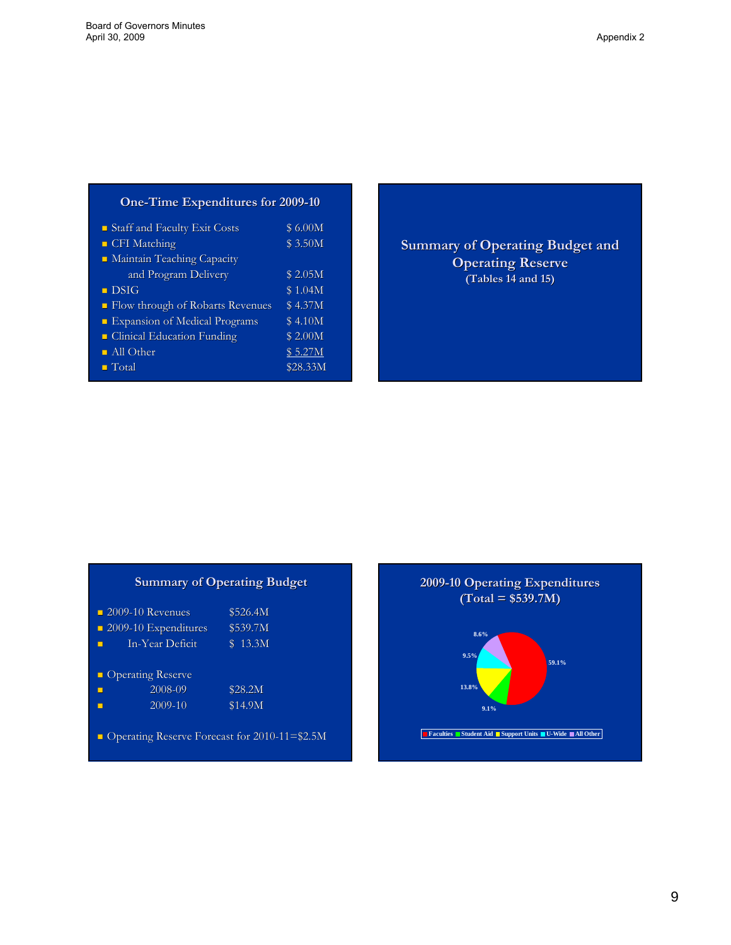# **One-Time Expenditures for 2009-10**

| Staff and Faculty Exit Costs       | <b>\$6.00M</b> |
|------------------------------------|----------------|
| <b>CFI</b> Matching                | \$3.50M        |
| • Maintain Teaching Capacity       |                |
| and Program Delivery               | \$2.05M        |
| $\blacksquare$ DSIG                | \$1.04M        |
| • Flow through of Robarts Revenues | \$4.37M        |
| Expansion of Medical Programs      | \$4.10M        |
| Clinical Education Funding         | \$2.00M        |
| All Other                          | \$5.27M        |
| $\blacksquare$ Total               | \$28.33M       |

**Summary of Operating Budget and Operating Reserve (Tables 14 and 15) (Tables 14 and 15)**

# **Summary of Operating Budget**

|   | $\blacksquare$ 2009-10 Revenues           | \$526.4M           |
|---|-------------------------------------------|--------------------|
|   | $\blacksquare$ 2009-10 Expenditures       | \$539.7M           |
| П | In-Year Deficit                           | \$13.3M            |
|   | • Operating Reserve<br>2008-09<br>2009-10 | \$28.2M<br>\$14.9M |
|   |                                           |                    |

Operating Reserve Forecast for 2010-11=\$2.5M

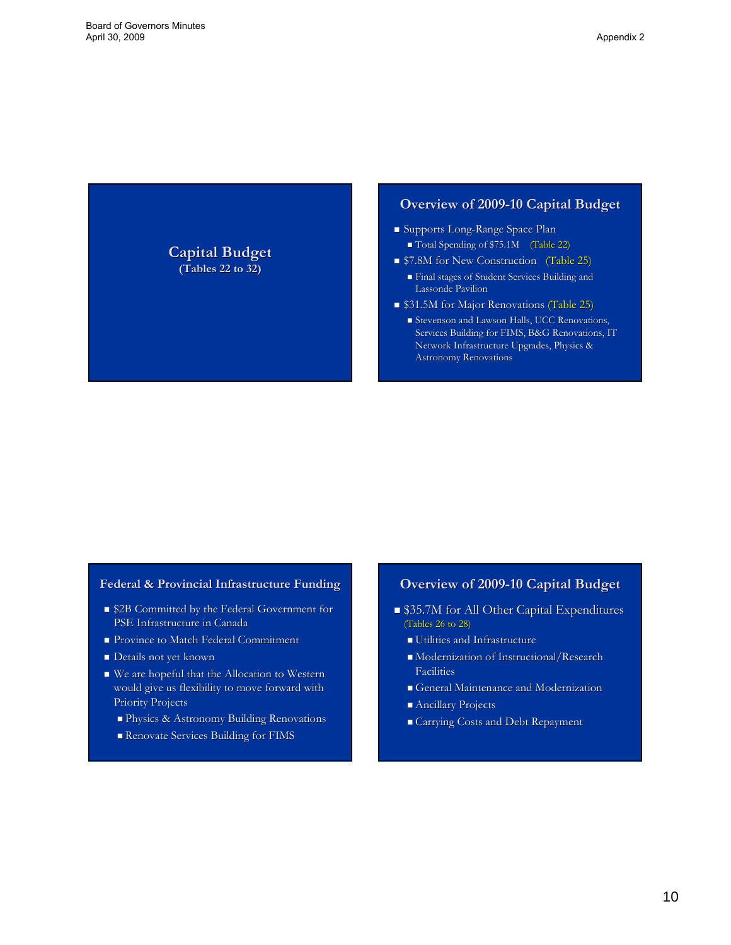**Capital Budget Capital Budget (Tables 22 to 32) to 32)**

## **Overview of 2009-10 Capital Budget**

- Supports Long-Range Space Plan
	- Total Spending of \$75.1M (Table 22)
- **57.8M for New Construction** (Table 25)
	- Final stages of Student Services Building and Final stages of Student Services Building and Lassonde Pavilion
- \$31.5M for Major Renovations (Table 25)
	- Stevenson and Lawson Halls, UCC Renovations, Services Building for FIMS, B&G Renovations, IT Network Infrastructure Upgrades, Physics & Astronomy Renovations

#### **Federal & Provincial Infrastructure Funding**

- \$2B Committed by the Federal Government for PSE Infrastructure in Canada
- **Province to Match Federal Commitment**
- **Details not yet known**
- $\blacksquare$  We are hopeful that the Allocation to Western would give us flexibility to move forward with Priority Projects
	- **Physics & Astronomy Building Renovations**
	- Renovate Services Building for FIMS

# **Overview of 2009 Overview of 2009-10 Capital Budget 10 Capital Budget**

- \$35.7M for All Other Capital Expenditures \$35.7M for All Other Capital Expenditures (Tables  $26$  to  $28$ )
	- Utilities and Infrastructure
	- $\blacksquare$  Modernization of Instructional/Research Facilities Facilities
	- General Maintenance and Modernization
	- **Ancillary Projects**
	- Carrying Costs and Debt Repayment Carrying Costs and Debt Repayment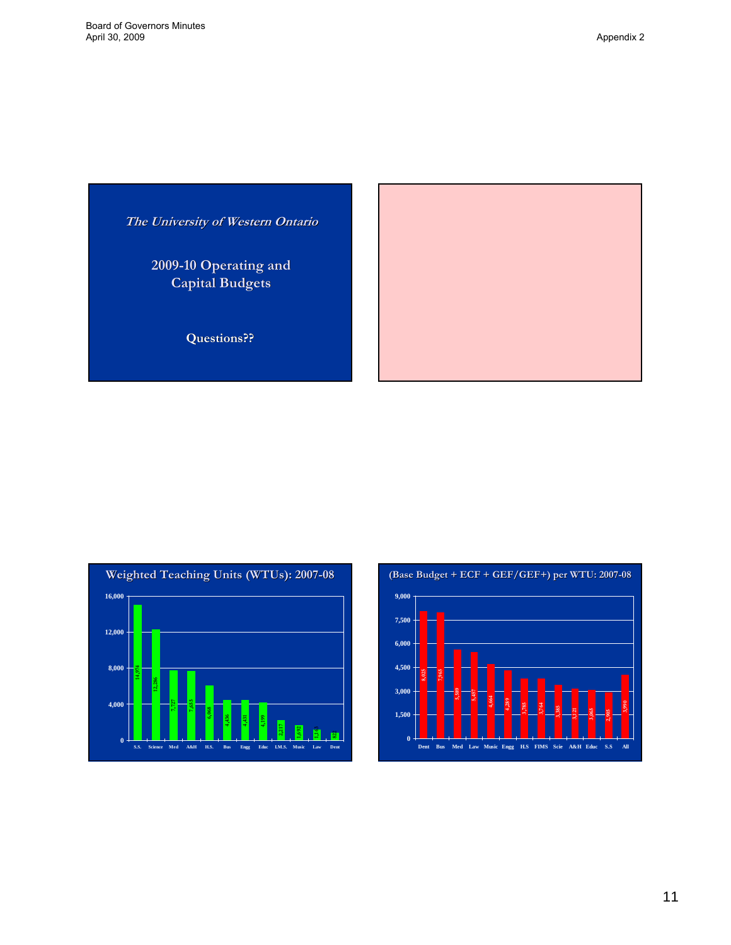**The University of Western Ontario**

**2009-10 Operating and 10 Operating and Capital Budgets Capital Budgets**

**Questions?? Questions??**